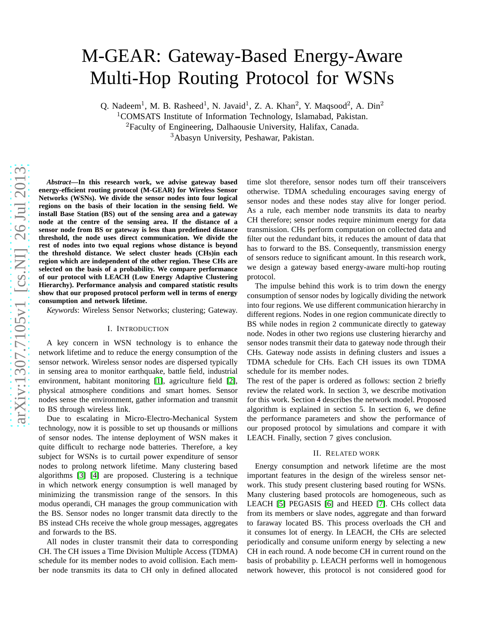# M-GEAR: Gateway-Based Energy-Aware Multi-Hop Routing Protocol for WSNs

Q. Nadeem<sup>1</sup>, M. B. Rasheed<sup>1</sup>, N. Javaid<sup>1</sup>, Z. A. Khan<sup>2</sup>, Y. Maqsood<sup>2</sup>, A. Din<sup>2</sup>

<sup>1</sup>COMSATS Institute of Information Technology, Islamabad, Pakistan. <sup>2</sup>Faculty of Engineering, Dalhaousie University, Halifax, Canada. <sup>3</sup>Abasyn University, Peshawar, Pakistan.

*Abstract***—In this research work, we advise gateway based energy-efficient routing protocol (M-GEAR) for Wireless Sensor Networks (WSNs). We divide the sensor nodes into four logica l regions on the basis of their location in the sensing field. We install Base Station (BS) out of the sensing area and a gatewa y node at the centre of the sensing area. If the distance of a sensor node from BS or gateway is less than predefined distanc e threshold, the node uses direct communication. We divide th e rest of nodes into two equal regions whose distance is beyond** the threshold distance. We select cluster heads (CHs)in each **region which are independent of the other region. These CHs are selected on the basis of a probability. We compare performance of our protocol with LEACH (Low Energy Adaptive Clustering Hierarchy). Performance analysis and compared statistic results show that our proposed protocol perform well in terms of energy consumption and network lifetime.**

*Keywords*: Wireless Sensor Networks; clustering; Gateway.

# I. INTRODUCTION

A key concern in WSN technology is to enhance the network lifetime and to reduce the energy consumption of the sensor network. Wireless sensor nodes are dispersed typically in sensing area to monitor earthquake, battle field, industrial environment, habitant monitoring [\[1\]](#page-4-0), agriculture field [\[2\]](#page-4-1), physical atmosphere conditions and smart homes. Sensor nodes sense the environment, gather information and transmit to BS through wireless link.

Due to escalating in Micro-Electro-Mechanical System technology, now it is possible to set up thousands or million s of sensor nodes. The intense deployment of WSN makes it quite difficult to recharge node batteries. Therefore, a key subject for WSNs is to curtail power expenditure of sensor nodes to prolong network lifetime. Many clustering based algorithms [\[3\]](#page-4-2) [\[4\]](#page-4-3) are proposed. Clustering is a technique in which network energy consumption is well managed by minimizing the transmission range of the sensors. In this modus operandi, CH manages the group communication with the BS. Sensor nodes no longer transmit data directly to the BS instead CHs receive the whole group messages, aggregates and forwards to the BS.

All nodes in cluster transmit their data to corresponding CH. The CH issues a Time Division Multiple Access (TDMA) schedule for its member nodes to avoid collision. Each member node transmits its data to CH only in defined allocated time slot therefore, sensor nodes turn off their transceivers otherwise. TDMA scheduling encourages saving energy of sensor nodes and these nodes stay alive for longer period. As a rule, each member node transmits its data to nearby CH therefore; sensor nodes require minimum energy for data transmission. CHs perform computation on collected data an d filter out the redundant bits, it reduces the amount of data that has to forward to the BS. Consequently, transmission energy of sensors reduce to significant amount. In this research work, we design a gateway based energy-aware multi-hop routing protocol.

The impulse behind this work is to trim down the energy consumption of sensor nodes by logically dividing the network into four regions. We use different communication hierarchy in different regions. Nodes in one region communicate directly to BS while nodes in region 2 communicate directly to gateway node. Nodes in other two regions use clustering hierarchy an d sensor nodes transmit their data to gateway node through their CHs. Gateway node assists in defining clusters and issues a TDMA schedule for CHs. Each CH issues its own TDMA schedule for its member nodes.

The rest of the paper is ordered as follows: section 2 briefly review the related work. In section 3, we describe motivatio n for this work. Section 4 describes the network model. Proposed algorithm is explained in section 5. In section 6, we define the performance parameters and show the performance of our proposed protocol by simulations and compare it with LEACH. Finally, section 7 gives conclusion.

# II. RELATED WORK

Energy consumption and network lifetime are the most important features in the design of the wireless sensor network. This study present clustering based routing for WSNs. Many clustering based protocols are homogeneous, such as LEACH [\[5\]](#page-4-4) PEGASIS [\[6\]](#page-4-5) and HEED [\[7\]](#page-4-6). CHs collect data from its members or slave nodes, aggregate and than forward to faraway located BS. This process overloads the CH and it consumes lot of energy. In LEACH, the CHs are selected periodically and consume uniform energy by selecting a new CH in each round. A node become CH in current round on the basis of probability p. LEACH performs well in homogenous network however, this protocol is not considered good for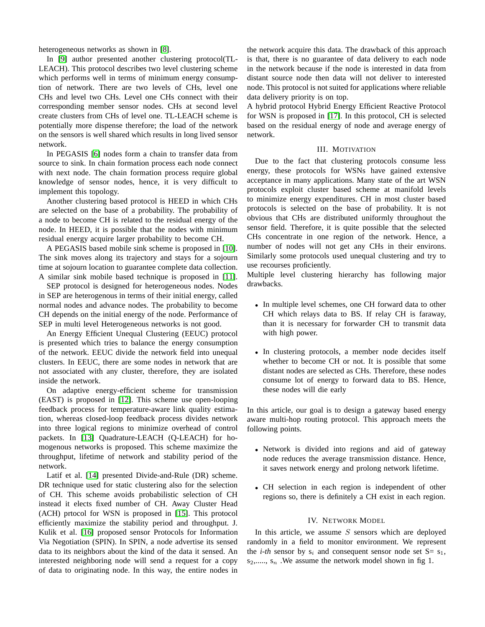heterogeneous networks as shown in [\[8\]](#page-4-7).

In [\[9\]](#page-4-8) author presented another clustering protocol(TL-LEACH). This protocol describes two level clustering scheme which performs well in terms of minimum energy consumption of network. There are two levels of CHs, level one CHs and level two CHs. Level one CHs connect with their corresponding member sensor nodes. CHs at second level create clusters from CHs of level one. TL-LEACH scheme is potentially more dispense therefore; the load of the network on the sensors is well shared which results in long lived sensor network.

In PEGASIS [\[6\]](#page-4-5) nodes form a chain to transfer data from source to sink. In chain formation process each node connect with next node. The chain formation process require global knowledge of sensor nodes, hence, it is very difficult to implement this topology.

Another clustering based protocol is HEED in which CHs are selected on the base of a probability. The probability of a node to become CH is related to the residual energy of the node. In HEED, it is possible that the nodes with minimum residual energy acquire larger probability to become CH.

A PEGASIS based mobile sink scheme is proposed in [\[10\]](#page-4-9). The sink moves along its trajectory and stays for a sojourn time at sojourn location to guarantee complete data collection. A similar sink mobile based technique is proposed in [\[11\]](#page-4-10).

SEP protocol is designed for heterogeneous nodes. Nodes in SEP are heterogenous in terms of their initial energy, called normal nodes and advance nodes. The probability to become CH depends on the initial energy of the node. Performance of SEP in multi level Heterogeneous networks is not good.

An Energy Efficient Unequal Clustering (EEUC) protocol is presented which tries to balance the energy consumption of the network. EEUC divide the network field into unequal clusters. In EEUC, there are some nodes in network that are not associated with any cluster, therefore, they are isolated inside the network.

On adaptive energy-efficient scheme for transmission (EAST) is proposed in [\[12\]](#page-4-11). This scheme use open-looping feedback process for temperature-aware link quality estimation, whereas closed-loop feedback process divides network into three logical regions to minimize overhead of control packets. In [\[13\]](#page-5-0) Quadrature-LEACH (Q-LEACH) for homogenous networks is proposed. This scheme maximize the throughput, lifetime of network and stability period of the network.

Latif et al. [\[14\]](#page-5-1) presented Divide-and-Rule (DR) scheme. DR technique used for static clustering also for the selection of CH. This scheme avoids probabilistic selection of CH instead it elects fixed number of CH. Away Cluster Head (ACH) prtocol for WSN is proposed in [\[15\]](#page-5-2). This protocol efficiently maximize the stability period and throughput. J. Kulik et al. [\[16\]](#page-5-3) proposed sensor Protocols for Information Via Negotiation (SPIN). In SPIN, a node advertise its sensed data to its neighbors about the kind of the data it sensed. An interested neighboring node will send a request for a copy of data to originating node. In this way, the entire nodes in

the network acquire this data. The drawback of this approach is that, there is no guarantee of data delivery to each node in the network because if the node is interested in data from distant source node then data will not deliver to interested node. This protocol is not suited for applications where reliable data delivery priority is on top.

A hybrid protocol Hybrid Energy Efficient Reactive Protocol for WSN is proposed in [\[17\]](#page-5-4). In this protocol, CH is selected based on the residual energy of node and average energy of network.

# III. MOTIVATION

Due to the fact that clustering protocols consume less energy, these protocols for WSNs have gained extensive acceptance in many applications. Many state of the art WSN protocols exploit cluster based scheme at manifold levels to minimize energy expenditures. CH in most cluster based protocols is selected on the base of probability. It is not obvious that CHs are distributed uniformly throughout the sensor field. Therefore, it is quite possible that the selected CHs concentrate in one region of the network. Hence, a number of nodes will not get any CHs in their environs. Similarly some protocols used unequal clustering and try to use recourses proficiently.

Multiple level clustering hierarchy has following major drawbacks.

- In multiple level schemes, one CH forward data to other CH which relays data to BS. If relay CH is faraway, than it is necessary for forwarder CH to transmit data with high power.
- In clustering protocols, a member node decides itself whether to become CH or not. It is possible that some distant nodes are selected as CHs. Therefore, these nodes consume lot of energy to forward data to BS. Hence, these nodes will die early

In this article, our goal is to design a gateway based energy aware multi-hop routing protocol. This approach meets the following points.

- Network is divided into regions and aid of gateway node reduces the average transmission distance. Hence, it saves network energy and prolong network lifetime.
- CH selection in each region is independent of other regions so, there is definitely a CH exist in each region.

# IV. NETWORK MODEL

In this article, we assume  $S$  sensors which are deployed randomly in a field to monitor environment. We represent the *i-th* sensor by  $s_i$  and consequent sensor node set  $S = s_1$ ,  $s_2, \ldots, s_n$ . We assume the network model shown in fig 1.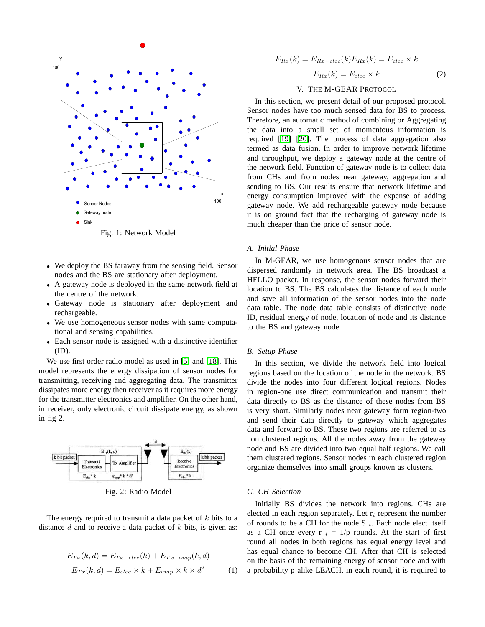

Fig. 1: Network Model

- We deploy the BS faraway from the sensing field. Sensor nodes and the BS are stationary after deployment.
- A gateway node is deployed in the same network field at the centre of the network.
- Gateway node is stationary after deployment and rechargeable.
- We use homogeneous sensor nodes with same computational and sensing capabilities.
- Each sensor node is assigned with a distinctive identifier (ID).

We use first order radio model as used in [\[5\]](#page-4-4) and [\[18\]](#page-5-5). This model represents the energy dissipation of sensor nodes for transmitting, receiving and aggregating data. The transmitter dissipates more energy then receiver as it requires more energy for the transmitter electronics and amplifier. On the other hand, in receiver, only electronic circuit dissipate energy, as shown in fig 2.



Fig. 2: Radio Model

The energy required to transmit a data packet of  $k$  bits to a distance  $d$  and to receive a data packet of  $k$  bits, is given as:

$$
E_{Tx}(k,d) = E_{Tx-elec}(k) + E_{Tx-amp}(k,d)
$$
  
\n
$$
E_{Tx}(k,d) = E_{elec} \times k + E_{amp} \times k \times d^2
$$
 (1)

$$
E_{Rx}(k) = E_{Rx-elec}(k)E_{Rx}(k) = E_{elec} \times k
$$

$$
E_{Rx}(k) = E_{elec} \times k
$$
 (2)

# V. THE M-GEAR PROTOCOL

In this section, we present detail of our proposed protocol. Sensor nodes have too much sensed data for BS to process. Therefore, an automatic method of combining or Aggregating the data into a small set of momentous information is required [\[19\]](#page-5-6) [\[20\]](#page-5-7). The process of data aggregation also termed as data fusion. In order to improve network lifetime and throughput, we deploy a gateway node at the centre of the network field. Function of gateway node is to collect data from CHs and from nodes near gateway, aggregation and sending to BS. Our results ensure that network lifetime and energy consumption improved with the expense of adding gateway node. We add rechargeable gateway node because it is on ground fact that the recharging of gateway node is much cheaper than the price of sensor node.

# *A. Initial Phase*

In M-GEAR, we use homogenous sensor nodes that are dispersed randomly in network area. The BS broadcast a HELLO packet. In response, the sensor nodes forward their location to BS. The BS calculates the distance of each node and save all information of the sensor nodes into the node data table. The node data table consists of distinctive node ID, residual energy of node, location of node and its distance to the BS and gateway node.

## *B. Setup Phase*

In this section, we divide the network field into logical regions based on the location of the node in the network. BS divide the nodes into four different logical regions. Nodes in region-one use direct communication and transmit their data directly to BS as the distance of these nodes from BS is very short. Similarly nodes near gateway form region-two and send their data directly to gateway which aggregates data and forward to BS. These two regions are referred to as non clustered regions. All the nodes away from the gateway node and BS are divided into two equal half regions. We call them clustered regions. Sensor nodes in each clustered region organize themselves into small groups known as clusters.

# *C. CH Selection*

Initially BS divides the network into regions. CHs are elected in each region separately. Let  $r_i$  represent the number of rounds to be a CH for the node  $S_i$ . Each node elect itself as a CH once every  $r_i = 1/p$  rounds. At the start of first round all nodes in both regions has equal energy level and has equal chance to become CH. After that CH is selected on the basis of the remaining energy of sensor node and with a probability p alike LEACH. in each round, it is required to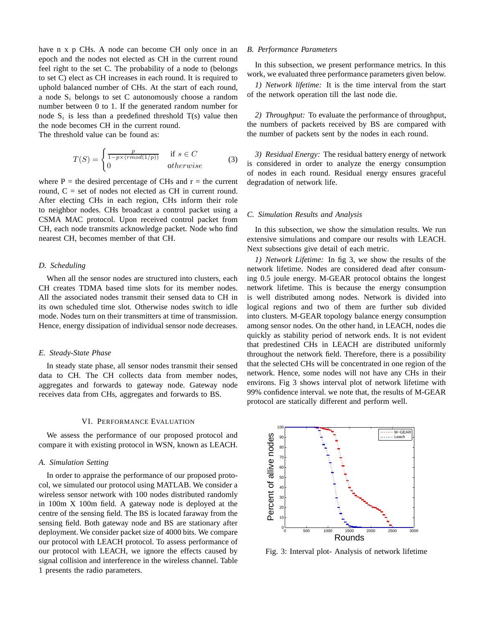have n x p CHs. A node can become CH only once in an epoch and the nodes not elected as CH in the current round feel right to the set C. The probability of a node to (belongs to set C) elect as CH increases in each round. It is required to uphold balanced number of CHs. At the start of each round, a node  $S_i$  belongs to set C autonomously choose a random number between 0 to 1. If the generated random number for node  $S_i$  is less than a predefined threshold  $T(s)$  value then the node becomes CH in the current round.

The threshold value can be found as:

$$
T(S) = \begin{cases} \frac{p}{1 - p \times (r \mod(1/p))} & \text{if } s \in C \\ 0 & \text{otherwise} \end{cases}
$$
 (3)

where  $P =$  the desired percentage of CHs and  $r =$  the current round, C = set of nodes not elected as CH in current round. After electing CHs in each region, CHs inform their role to neighbor nodes. CHs broadcast a control packet using a CSMA MAC protocol. Upon received control packet from CH, each node transmits acknowledge packet. Node who find nearest CH, becomes member of that CH.

# *D. Scheduling*

When all the sensor nodes are structured into clusters, each CH creates TDMA based time slots for its member nodes. All the associated nodes transmit their sensed data to CH in its own scheduled time slot. Otherwise nodes switch to idle mode. Nodes turn on their transmitters at time of transmission. Hence, energy dissipation of individual sensor node decreases.

# *E. Steady-State Phase*

In steady state phase, all sensor nodes transmit their sensed data to CH. The CH collects data from member nodes, aggregates and forwards to gateway node. Gateway node receives data from CHs, aggregates and forwards to BS.

## VI. PERFORMANCE EVALUATION

We assess the performance of our proposed protocol and compare it with existing protocol in WSN, known as LEACH.

# *A. Simulation Setting*

In order to appraise the performance of our proposed protocol, we simulated our protocol using MATLAB. We consider a wireless sensor network with 100 nodes distributed randomly in 100m X 100m field. A gateway node is deployed at the centre of the sensing field. The BS is located faraway from the sensing field. Both gateway node and BS are stationary after deployment. We consider packet size of 4000 bits. We compare our protocol with LEACH protocol. To assess performance of our protocol with LEACH, we ignore the effects caused by signal collision and interference in the wireless channel. Table 1 presents the radio parameters.

### *B. Performance Parameters*

In this subsection, we present performance metrics. In this work, we evaluated three performance parameters given below.

*1) Network lifetime:* It is the time interval from the start of the network operation till the last node die.

*2) Throughput:* To evaluate the performance of throughput, the numbers of packets received by BS are compared with the number of packets sent by the nodes in each round.

*3) Residual Energy:* The residual battery energy of network is considered in order to analyze the energy consumption of nodes in each round. Residual energy ensures graceful degradation of network life.

### *C. Simulation Results and Analysis*

In this subsection, we show the simulation results. We run extensive simulations and compare our results with LEACH. Next subsections give detail of each metric.

*1) Network Lifetime:* In fig 3, we show the results of the network lifetime. Nodes are considered dead after consuming 0.5 joule energy. M-GEAR protocol obtains the longest network lifetime. This is because the energy consumption is well distributed among nodes. Network is divided into logical regions and two of them are further sub divided into clusters. M-GEAR topology balance energy consumption among sensor nodes. On the other hand, in LEACH, nodes die quickly as stability period of network ends. It is not evident that predestined CHs in LEACH are distributed uniformly throughout the network field. Therefore, there is a possibility that the selected CHs will be concentrated in one region of the network. Hence, some nodes will not have any CHs in their environs. Fig 3 shows interval plot of network lifetime with 99% confidence interval. we note that, the results of M-GEAR protocol are statically different and perform well.



Fig. 3: Interval plot- Analysis of network lifetime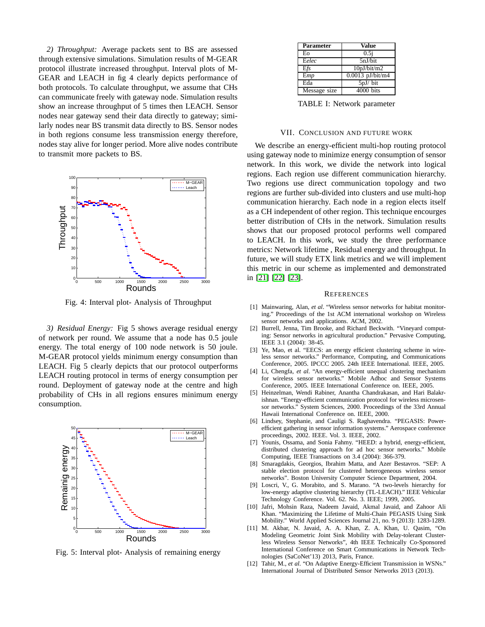*2) Throughput:* Average packets sent to BS are assessed through extensive simulations. Simulation results of M-GEAR protocol illustrate increased throughput. Interval plots of M-GEAR and LEACH in fig 4 clearly depicts performance of both protocols. To calculate throughput, we assume that CHs can communicate freely with gateway node. Simulation results show an increase throughput of 5 times then LEACH. Sensor nodes near gateway send their data directly to gateway; similarly nodes near BS transmit data directly to BS. Sensor nodes in both regions consume less transmission energy therefore, nodes stay alive for longer period. More alive nodes contribute to transmit more packets to BS.



Fig. 4: Interval plot- Analysis of Throughput

*3) Residual Energy:* Fig 5 shows average residual energy of network per round. We assume that a node has 0.5 joule energy. The total energy of 100 node network is 50 joule. M-GEAR protocol yields minimum energy consumption than LEACH. Fig 5 clearly depicts that our protocol outperforms LEACH routing protocol in terms of energy consumption per round. Deployment of gateway node at the centre and high probability of CHs in all regions ensures minimum energy consumption.



Fig. 5: Interval plot- Analysis of remaining energy

| <b>Parameter</b> | Value                         |
|------------------|-------------------------------|
| $E_{\Omega}$     | 0.5i                          |
| Eelec            | 5nJ/bit                       |
| Efs              | 10pJ/bit/m2                   |
| Emp              | $\overline{0.0013}$ pJ/bit/m4 |
| Eda              | $5pJ$ bit                     |
| Message size     | $\overline{4000}$ bits        |

TABLE I: Network parameter

#### VII. CONCLUSION AND FUTURE WORK

We describe an energy-efficient multi-hop routing protocol using gateway node to minimize energy consumption of sensor network. In this work, we divide the network into logical regions. Each region use different communication hierarchy. Two regions use direct communication topology and two regions are further sub-divided into clusters and use multi-hop communication hierarchy. Each node in a region elects itself as a CH independent of other region. This technique encourges better distribution of CHs in the network. Simulation results shows that our proposed protocol performs well compared to LEACH. In this work, we study the three performance metrics: Network lifetime , Residual energy and throughput. In future, we will study ETX link metrics and we will implement this metric in our scheme as implemented and demonstrated in [\[21\]](#page-5-8) [\[22\]](#page-5-9) [\[23\]](#page-5-10).

#### **REFERENCES**

- <span id="page-4-0"></span>[1] Mainwaring, Alan, *et al*. "Wireless sensor networks for habitat monitoring." Proceedings of the 1st ACM international workshop on Wireless sensor networks and applications. ACM, 2002.
- <span id="page-4-1"></span>[2] Burrell, Jenna, Tim Brooke, and Richard Beckwith. "Vineyard computing: Sensor networks in agricultural production." Pervasive Computing, IEEE 3.1 (2004): 38-45.
- <span id="page-4-2"></span>[3] Ye, Mao, et al. "EECS: an energy efficient clustering scheme in wireless sensor networks." Performance, Computing, and Communications Conference, 2005. IPCCC 2005. 24th IEEE International. IEEE, 2005.
- <span id="page-4-3"></span>[4] Li, Chengfa, *et al*. "An energy-efficient unequal clustering mechanism for wireless sensor networks." Mobile Adhoc and Sensor Systems Conference, 2005. IEEE International Conference on. IEEE, 2005.
- <span id="page-4-4"></span>[5] Heinzelman, Wendi Rabiner, Anantha Chandrakasan, and Hari Balakrishnan. "Energy-efficient communication protocol for wireless microsensor networks." System Sciences, 2000. Proceedings of the 33rd Annual Hawaii International Conference on. IEEE, 2000.
- <span id="page-4-5"></span>[6] Lindsey, Stephanie, and Cauligi S. Raghavendra. "PEGASIS: Powerefficient gathering in sensor information systems." Aerospace conference proceedings, 2002. IEEE. Vol. 3. IEEE, 2002.
- <span id="page-4-6"></span>[7] Younis, Ossama, and Sonia Fahmy. "HEED: a hybrid, energy-efficient, distributed clustering approach for ad hoc sensor networks." Mobile Computing, IEEE Transactions on 3.4 (2004): 366-379.
- <span id="page-4-7"></span>[8] Smaragdakis, Georgios, Ibrahim Matta, and Azer Bestavros. "SEP: A stable election protocol for clustered heterogeneous wireless sensor networks". Boston University Computer Science Department, 2004.
- <span id="page-4-8"></span>[9] Loscri, V., G. Morabito, and S. Marano. "A two-levels hierarchy for low-energy adaptive clustering hierarchy (TL-LEACH)." IEEE Vehicular Technology Conference. Vol. 62. No. 3. IEEE; 1999, 2005.
- <span id="page-4-9"></span>[10] Jafri, Mohsin Raza, Nadeem Javaid, Akmal Javaid, and Zahoor Ali Khan. "Maximizing the Lifetime of Multi-Chain PEGASIS Using Sink Mobility." World Applied Sciences Journal 21, no. 9 (2013): 1283-1289.
- <span id="page-4-10"></span>[11] M. Akbar, N. Javaid, A. A. Khan, Z. A. Khan, U. Qasim, "On Modeling Geometric Joint Sink Mobility with Delay-tolerant Clusterless Wireless Sensor Networks", 4th IEEE Technically Co-Sponsored International Conference on Smart Communications in Network Technologies (SaCoNet'13) 2013, Paris, France.
- <span id="page-4-11"></span>[12] Tahir, M., *et al*. "On Adaptive Energy-Efficient Transmission in WSNs." International Journal of Distributed Sensor Networks 2013 (2013).